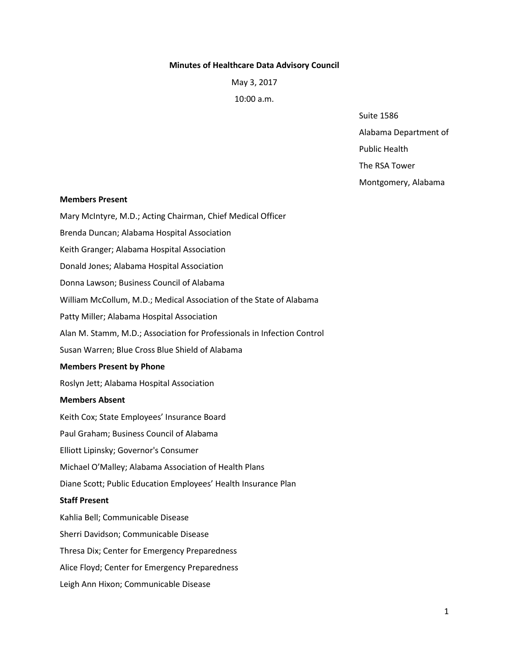#### **Minutes of Healthcare Data Advisory Council**

May 3, 2017

10:00 a.m.

Suite 1586

Alabama Department of

Public Health

The RSA Tower

Montgomery, Alabama

#### **Members Present**

Mary McIntyre, M.D.; Acting Chairman, Chief Medical Officer

Brenda Duncan; Alabama Hospital Association

Keith Granger; Alabama Hospital Association

Donald Jones; Alabama Hospital Association

Donna Lawson; Business Council of Alabama

William McCollum, M.D.; Medical Association of the State of Alabama

Patty Miller; Alabama Hospital Association

Alan M. Stamm, M.D.; Association for Professionals in Infection Control

Susan Warren; Blue Cross Blue Shield of Alabama

### **Members Present by Phone**

Roslyn Jett; Alabama Hospital Association

### **Members Absent**

Keith Cox; State Employees' Insurance Board

Paul Graham; Business Council of Alabama

Elliott Lipinsky; Governor's Consumer

Michael O'Malley; Alabama Association of Health Plans

Diane Scott; Public Education Employees' Health Insurance Plan

### **Staff Present**

Kahlia Bell; Communicable Disease Sherri Davidson; Communicable Disease Thresa Dix; Center for Emergency Preparedness Alice Floyd; Center for Emergency Preparedness Leigh Ann Hixon; Communicable Disease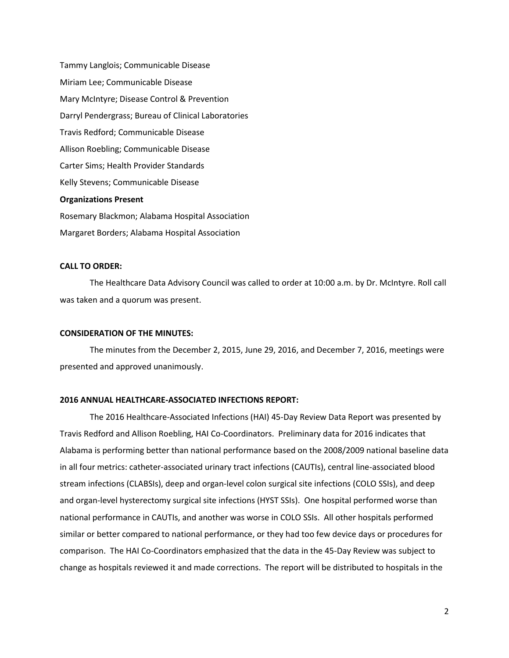Tammy Langlois; Communicable Disease Miriam Lee; Communicable Disease Mary McIntyre; Disease Control & Prevention Darryl Pendergrass; Bureau of Clinical Laboratories Travis Redford; Communicable Disease Allison Roebling; Communicable Disease Carter Sims; Health Provider Standards Kelly Stevens; Communicable Disease **Organizations Present**  Rosemary Blackmon; Alabama Hospital Association Margaret Borders; Alabama Hospital Association

# **CALL TO ORDER:**

The Healthcare Data Advisory Council was called to order at 10:00 a.m. by Dr. McIntyre. Roll call was taken and a quorum was present.

#### **CONSIDERATION OF THE MINUTES:**

The minutes from the December 2, 2015, June 29, 2016, and December 7, 2016, meetings were presented and approved unanimously.

### **2016 ANNUAL HEALTHCARE-ASSOCIATED INFECTIONS REPORT:**

The 2016 Healthcare-Associated Infections (HAI) 45-Day Review Data Report was presented by Travis Redford and Allison Roebling, HAI Co-Coordinators. Preliminary data for 2016 indicates that Alabama is performing better than national performance based on the 2008/2009 national baseline data in all four metrics: catheter-associated urinary tract infections (CAUTIs), central line-associated blood stream infections (CLABSIs), deep and organ-level colon surgical site infections (COLO SSIs), and deep and organ-level hysterectomy surgical site infections (HYST SSIs). One hospital performed worse than national performance in CAUTIs, and another was worse in COLO SSIs. All other hospitals performed similar or better compared to national performance, or they had too few device days or procedures for comparison. The HAI Co-Coordinators emphasized that the data in the 45-Day Review was subject to change as hospitals reviewed it and made corrections. The report will be distributed to hospitals in the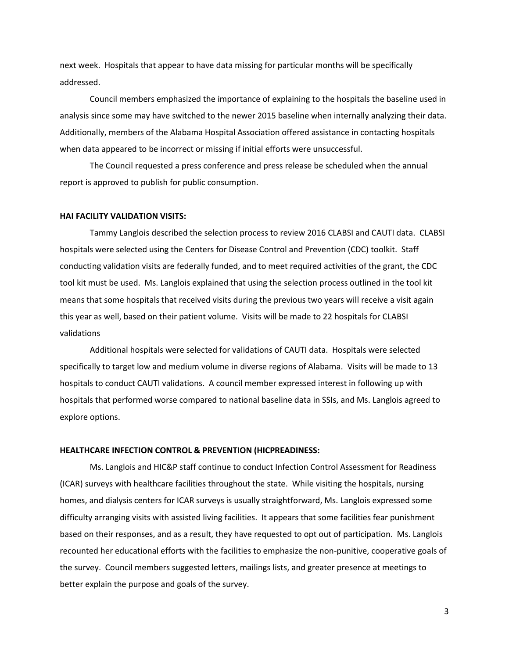next week. Hospitals that appear to have data missing for particular months will be specifically addressed.

Council members emphasized the importance of explaining to the hospitals the baseline used in analysis since some may have switched to the newer 2015 baseline when internally analyzing their data. Additionally, members of the Alabama Hospital Association offered assistance in contacting hospitals when data appeared to be incorrect or missing if initial efforts were unsuccessful.

The Council requested a press conference and press release be scheduled when the annual report is approved to publish for public consumption.

## **HAI FACILITY VALIDATION VISITS:**

Tammy Langlois described the selection process to review 2016 CLABSI and CAUTI data. CLABSI hospitals were selected using the Centers for Disease Control and Prevention (CDC) toolkit. Staff conducting validation visits are federally funded, and to meet required activities of the grant, the CDC tool kit must be used. Ms. Langlois explained that using the selection process outlined in the tool kit means that some hospitals that received visits during the previous two years will receive a visit again this year as well, based on their patient volume. Visits will be made to 22 hospitals for CLABSI validations

Additional hospitals were selected for validations of CAUTI data. Hospitals were selected specifically to target low and medium volume in diverse regions of Alabama. Visits will be made to 13 hospitals to conduct CAUTI validations. A council member expressed interest in following up with hospitals that performed worse compared to national baseline data in SSIs, and Ms. Langlois agreed to explore options.

#### **HEALTHCARE INFECTION CONTROL & PREVENTION (HICPREADINESS:**

Ms. Langlois and HIC&P staff continue to conduct Infection Control Assessment for Readiness (ICAR) surveys with healthcare facilities throughout the state. While visiting the hospitals, nursing homes, and dialysis centers for ICAR surveys is usually straightforward, Ms. Langlois expressed some difficulty arranging visits with assisted living facilities. It appears that some facilities fear punishment based on their responses, and as a result, they have requested to opt out of participation. Ms. Langlois recounted her educational efforts with the facilities to emphasize the non-punitive, cooperative goals of the survey. Council members suggested letters, mailings lists, and greater presence at meetings to better explain the purpose and goals of the survey.

3